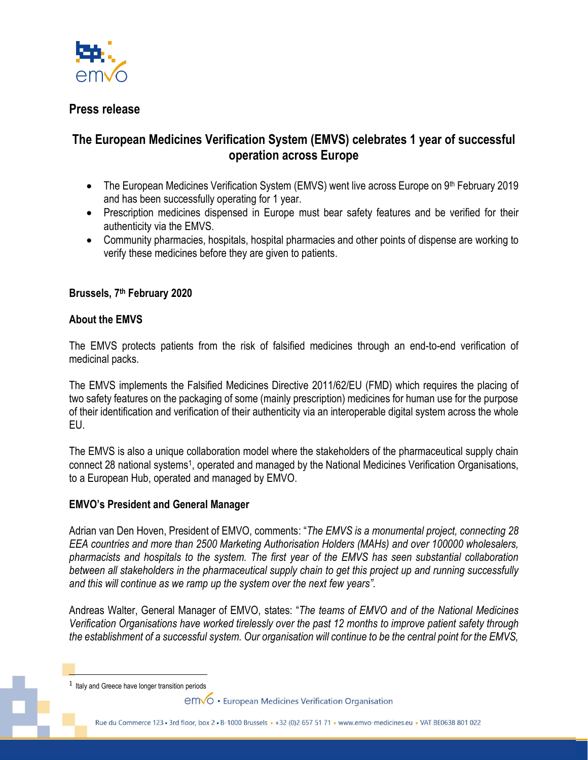

# **Press release**

# **The European Medicines Verification System (EMVS) celebrates 1 year of successful operation across Europe**

- The European Medicines Verification System (EMVS) went live across Europe on 9th February 2019 and has been successfully operating for 1 year.
- Prescription medicines dispensed in Europe must bear safety features and be verified for their authenticity via the EMVS.
- Community pharmacies, hospitals, hospital pharmacies and other points of dispense are working to verify these medicines before they are given to patients.

## **Brussels, 7 th February 2020**

#### **About the EMVS**

The EMVS protects patients from the risk of falsified medicines through an end-to-end verification of medicinal packs.

The EMVS implements the Falsified Medicines Directive 2011/62/EU (FMD) which requires the placing of two safety features on the packaging of some (mainly prescription) medicines for human use for the purpose of their identification and verification of their authenticity via an interoperable digital system across the whole EU.

The EMVS is also a unique collaboration model where the stakeholders of the pharmaceutical supply chain connect 28 national systems<sup>1</sup>, operated and managed by the National Medicines Verification Organisations, to a European Hub, operated and managed by EMVO.

#### **EMVO's President and General Manager**

Adrian van Den Hoven, President of EMVO, comments: "*The EMVS is a monumental project, connecting 28 EEA countries and more than 2500 Marketing Authorisation Holders (MAHs) and over 100000 wholesalers, pharmacists and hospitals to the system. The first year of the EMVS has seen substantial collaboration between all stakeholders in the pharmaceutical supply chain to get this project up and running successfully and this will continue as we ramp up the system over the next few years"*.

Andreas Walter, General Manager of EMVO, states: "*The teams of EMVO and of the National Medicines Verification Organisations have worked tirelessly over the past 12 months to improve patient safety through the establishment of a successful system. Our organisation will continue to be the central point for the EMVS,* 

 $<sup>1</sup>$  Italy and Greece have longer transition periods</sup>

emvo • European Medicines Verification Organisation